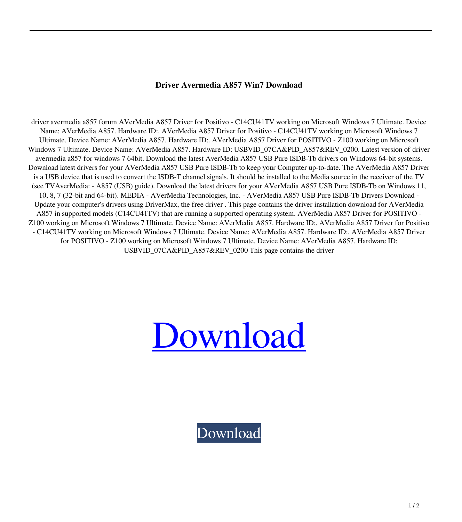## **Driver Avermedia A857 Win7 Download**

driver avermedia a857 forum AVerMedia A857 Driver for Positivo - C14CU41TV working on Microsoft Windows 7 Ultimate. Device Name: AVerMedia A857. Hardware ID:. AVerMedia A857 Driver for Positivo - C14CU41TV working on Microsoft Windows 7 Ultimate. Device Name: AVerMedia A857. Hardware ID:. AVerMedia A857 Driver for POSITIVO - Z100 working on Microsoft Windows 7 Ultimate. Device Name: AVerMedia A857. Hardware ID: USBVID\_07CA&PID\_A857&REV\_0200. Latest version of driver avermedia a857 for windows 7 64bit. Download the latest AverMedia A857 USB Pure ISDB-Tb drivers on Windows 64-bit systems. Download latest drivers for your AVerMedia A857 USB Pure ISDB-Tb to keep your Computer up-to-date. The AVerMedia A857 Driver is a USB device that is used to convert the ISDB-T channel signals. It should be installed to the Media source in the receiver of the TV (see TVAverMedia: - A857 (USB) guide). Download the latest drivers for your AVerMedia A857 USB Pure ISDB-Tb on Windows 11, 10, 8, 7 (32-bit and 64-bit). MEDIA - AVerMedia Technologies, Inc. - AVerMedia A857 USB Pure ISDB-Tb Drivers Download - Update your computer's drivers using DriverMax, the free driver . This page contains the driver installation download for AVerMedia A857 in supported models (C14CU41TV) that are running a supported operating system. AVerMedia A857 Driver for POSITIVO - Z100 working on Microsoft Windows 7 Ultimate. Device Name: AVerMedia A857. Hardware ID:. AVerMedia A857 Driver for Positivo - C14CU41TV working on Microsoft Windows 7 Ultimate. Device Name: AVerMedia A857. Hardware ID:. AVerMedia A857 Driver for POSITIVO - Z100 working on Microsoft Windows 7 Ultimate. Device Name: AVerMedia A857. Hardware ID: USBVID\_07CA&PID\_A857&REV\_0200 This page contains the driver



[Download](http://evacdir.com/academe.accolade/ZG93bmxvYWR8YUs1WkdwNGZId3hOalV5TnpRd09EWTJmSHd5TlRjMGZId29UU2tnY21WaFpDMWliRzluSUZ0R1lYTjBJRWRGVGww/clip/dishwashers.ZHJpdmVyIGF2ZXJtZWRpYSBhODU3IHdpbjcgZG93bmxvYWQZHJ.individually.unvarnished.mcgill)